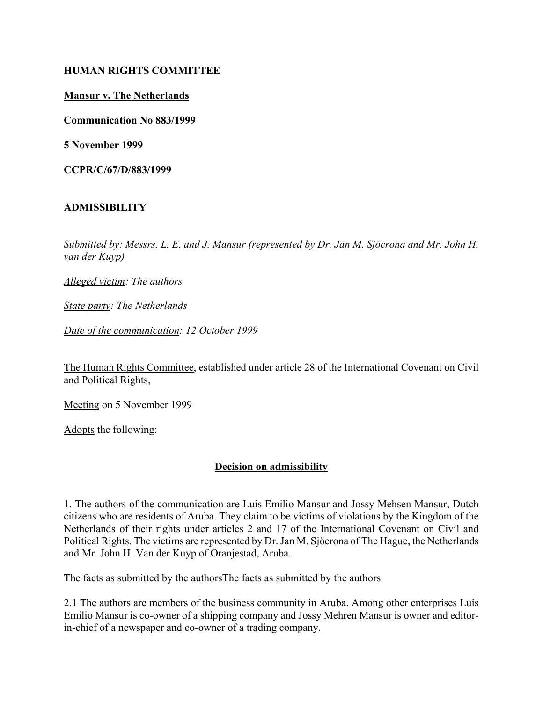#### **HUMAN RIGHTS COMMITTEE**

#### **Mansur v. The Netherlands**

**Communication No 883/1999**

**5 November 1999**

**CCPR/C/67/D/883/1999**

## **ADMISSIBILITY**

Submitted by: Messrs. L. E. and J. Mansur (represented by Dr. Jan M. Sjöcrona and Mr. John H. *van der Kuyp)* 

*Alleged victim: The authors* 

*State party: The Netherlands* 

*Date of the communication: 12 October 1999* 

The Human Rights Committee, established under article 28 of the International Covenant on Civil and Political Rights,

Meeting on 5 November 1999

Adopts the following:

## **Decision on admissibility**

1. The authors of the communication are Luis Emilio Mansur and Jossy Mehsen Mansur, Dutch citizens who are residents of Aruba. They claim to be victims of violations by the Kingdom of the Netherlands of their rights under articles 2 and 17 of the International Covenant on Civil and Political Rights. The victims are represented by Dr. Jan M. Sjöcrona of The Hague, the Netherlands and Mr. John H. Van der Kuyp of Oranjestad, Aruba.

The facts as submitted by the authorsThe facts as submitted by the authors

2.1 The authors are members of the business community in Aruba. Among other enterprises Luis Emilio Mansur is co-owner of a shipping company and Jossy Mehren Mansur is owner and editorin-chief of a newspaper and co-owner of a trading company.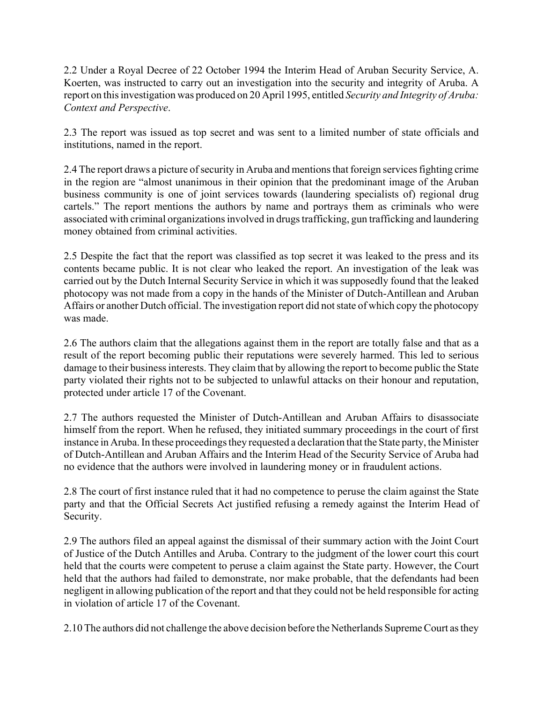2.2 Under a Royal Decree of 22 October 1994 the Interim Head of Aruban Security Service, A. Koerten, was instructed to carry out an investigation into the security and integrity of Aruba. A report on this investigation was produced on 20 April 1995, entitled *Security and Integrity of Aruba: Context and Perspective*.

2.3 The report was issued as top secret and was sent to a limited number of state officials and institutions, named in the report.

2.4 The report draws a picture of security in Aruba and mentions that foreign services fighting crime in the region are "almost unanimous in their opinion that the predominant image of the Aruban business community is one of joint services towards (laundering specialists of) regional drug cartels." The report mentions the authors by name and portrays them as criminals who were associated with criminal organizations involved in drugs trafficking, gun trafficking and laundering money obtained from criminal activities.

2.5 Despite the fact that the report was classified as top secret it was leaked to the press and its contents became public. It is not clear who leaked the report. An investigation of the leak was carried out by the Dutch Internal Security Service in which it was supposedly found that the leaked photocopy was not made from a copy in the hands of the Minister of Dutch-Antillean and Aruban Affairs or another Dutch official. The investigation report did not state of which copy the photocopy was made.

2.6 The authors claim that the allegations against them in the report are totally false and that as a result of the report becoming public their reputations were severely harmed. This led to serious damage to their business interests. They claim that by allowing the report to become public the State party violated their rights not to be subjected to unlawful attacks on their honour and reputation, protected under article 17 of the Covenant.

2.7 The authors requested the Minister of Dutch-Antillean and Aruban Affairs to disassociate himself from the report. When he refused, they initiated summary proceedings in the court of first instance in Aruba. In these proceedings they requested a declaration that the State party, the Minister of Dutch-Antillean and Aruban Affairs and the Interim Head of the Security Service of Aruba had no evidence that the authors were involved in laundering money or in fraudulent actions.

2.8 The court of first instance ruled that it had no competence to peruse the claim against the State party and that the Official Secrets Act justified refusing a remedy against the Interim Head of Security.

2.9 The authors filed an appeal against the dismissal of their summary action with the Joint Court of Justice of the Dutch Antilles and Aruba. Contrary to the judgment of the lower court this court held that the courts were competent to peruse a claim against the State party. However, the Court held that the authors had failed to demonstrate, nor make probable, that the defendants had been negligent in allowing publication of the report and that they could not be held responsible for acting in violation of article 17 of the Covenant.

2.10 The authors did not challenge the above decision before the Netherlands Supreme Court as they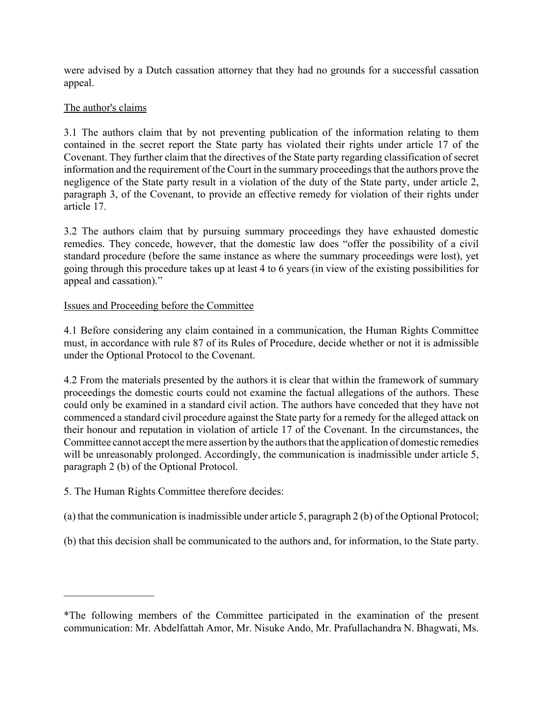were advised by a Dutch cassation attorney that they had no grounds for a successful cassation appeal.

# The author's claims

3.1 The authors claim that by not preventing publication of the information relating to them contained in the secret report the State party has violated their rights under article 17 of the Covenant. They further claim that the directives of the State party regarding classification of secret information and the requirement of the Court in the summary proceedings that the authors prove the negligence of the State party result in a violation of the duty of the State party, under article 2, paragraph 3, of the Covenant, to provide an effective remedy for violation of their rights under article 17.

3.2 The authors claim that by pursuing summary proceedings they have exhausted domestic remedies. They concede, however, that the domestic law does "offer the possibility of a civil standard procedure (before the same instance as where the summary proceedings were lost), yet going through this procedure takes up at least 4 to 6 years (in view of the existing possibilities for appeal and cassation)."

## Issues and Proceeding before the Committee

4.1 Before considering any claim contained in a communication, the Human Rights Committee must, in accordance with rule 87 of its Rules of Procedure, decide whether or not it is admissible under the Optional Protocol to the Covenant.

4.2 From the materials presented by the authors it is clear that within the framework of summary proceedings the domestic courts could not examine the factual allegations of the authors. These could only be examined in a standard civil action. The authors have conceded that they have not commenced a standard civil procedure against the State party for a remedy for the alleged attack on their honour and reputation in violation of article 17 of the Covenant. In the circumstances, the Committee cannot accept the mere assertion by the authors that the application of domestic remedies will be unreasonably prolonged. Accordingly, the communication is inadmissible under article 5, paragraph 2 (b) of the Optional Protocol.

5. The Human Rights Committee therefore decides:

 $\frac{1}{2}$ 

- (a) that the communication is inadmissible under article 5, paragraph 2 (b) of the Optional Protocol;
- (b) that this decision shall be communicated to the authors and, for information, to the State party.

<sup>\*</sup>The following members of the Committee participated in the examination of the present communication: Mr. Abdelfattah Amor, Mr. Nisuke Ando, Mr. Prafullachandra N. Bhagwati, Ms.